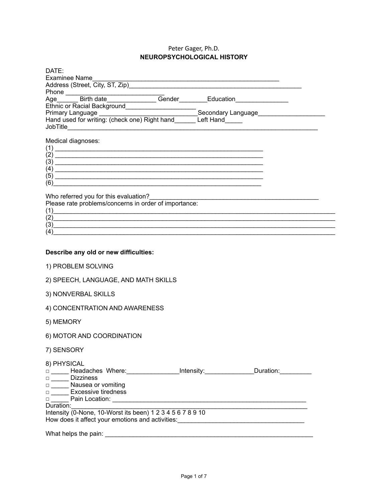## Peter Gager, Ph.D. **NEUROPSYCHOLOGICAL HISTORY**

| DATE:<br><b>Examinee Name</b>                                                                                                                                                                                                                                                                                                       |
|-------------------------------------------------------------------------------------------------------------------------------------------------------------------------------------------------------------------------------------------------------------------------------------------------------------------------------------|
| Ethnic or Racial Background<br>Primary Language<br>Hand used for writing: (check one) Right hand<br>Contact Hand<br>Contact Hand<br>Left Hand                                                                                                                                                                                       |
| Medical diagnoses:<br>$(1)$ $\overline{\phantom{a}}$<br>$(2)$ $\overline{\phantom{a}}$<br>$\left(3\right)$ $\qquad$<br>(6)<br><u> 1989 - 1989 - 1989 - 1989 - 1989 - 1989 - 1989 - 1989 - 1989 - 1989 - 1989 - 1989 - 1989 - 1989 - 1989 - 19</u><br>Who referred you for this evaluation?<br>Who referred you for this evaluation? |
| Please rate problems/concerns in order of importance:<br>(1)                                                                                                                                                                                                                                                                        |
| (2)<br>$\frac{1}{2}$<br>(4)                                                                                                                                                                                                                                                                                                         |
| Describe any old or new difficulties:                                                                                                                                                                                                                                                                                               |
| 1) PROBLEM SOLVING                                                                                                                                                                                                                                                                                                                  |
| 2) SPEECH, LANGUAGE, AND MATH SKILLS                                                                                                                                                                                                                                                                                                |
| 3) NONVERBAL SKILLS                                                                                                                                                                                                                                                                                                                 |
| 4) CONCENTRATION AND AWARENESS                                                                                                                                                                                                                                                                                                      |
| 5) MEMORY                                                                                                                                                                                                                                                                                                                           |
| 6) MOTOR AND COORDINATION                                                                                                                                                                                                                                                                                                           |
| 7) SENSORY                                                                                                                                                                                                                                                                                                                          |
| 8) PHYSICAL<br>□ _____ Headaches Where: ________________Intensity: ______________Duration: __________<br>Dizziness                                                                                                                                                                                                                  |
| Duration:<br>Intensity (0-None, 10-Worst its been) 1 2 3 4 5 6 7 8 9 10<br>How does it affect your emotions and activities: ________________________________                                                                                                                                                                        |
|                                                                                                                                                                                                                                                                                                                                     |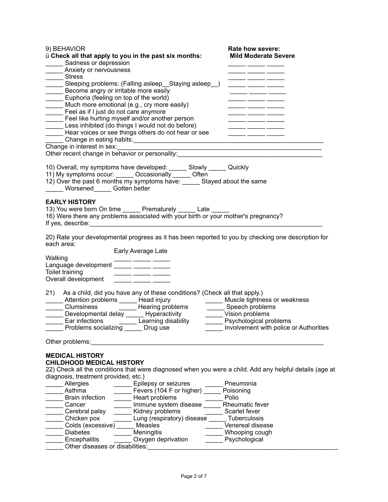| 9) BEHAVIOR                                                                                                                                                                                                                                          | Rate how severe:                             |
|------------------------------------------------------------------------------------------------------------------------------------------------------------------------------------------------------------------------------------------------------|----------------------------------------------|
| ü Check all that apply to you in the past six months:                                                                                                                                                                                                | <b>Mild Moderate Severe</b>                  |
| Sadness or depression                                                                                                                                                                                                                                |                                              |
| Anxiety or nervousness                                                                                                                                                                                                                               |                                              |
| Sleeping problems: (Falling asleep_Staying asleep_)<br>Become angry or irritable more easily                                                                                                                                                         |                                              |
|                                                                                                                                                                                                                                                      | <u> 1980 - Andrea Andrew Maria (b. 1980)</u> |
|                                                                                                                                                                                                                                                      |                                              |
| Euphoria (feeling on top of the world)                                                                                                                                                                                                               |                                              |
| Much more emotional (e.g., cry more easily)                                                                                                                                                                                                          |                                              |
| Feel as if I just do not care anymore                                                                                                                                                                                                                |                                              |
|                                                                                                                                                                                                                                                      |                                              |
|                                                                                                                                                                                                                                                      |                                              |
| Feel like hurting myself and/or another person<br>Less inhibited (do things I would not do before)<br>Hear voices or see things others do not hear or see                                                                                            |                                              |
| Change in eating habits:<br><u>Change in eating habits:</u>                                                                                                                                                                                          |                                              |
| Change in interest in sex:                                                                                                                                                                                                                           |                                              |
| Other recent change in behavior or personality:<br>The matter of the contract of the contract of the contract of the contract of the contract of the contract of                                                                                     |                                              |
| 10) Overall, my symptoms have developed: ______ Slowly ______ Quickly<br>11) My symptoms occur: ______ Occasionally _____ Often<br>12) Over the past 6 months my symptoms have: _____ Stayed about the same<br>_______ Worsened_______ Gotten better |                                              |
|                                                                                                                                                                                                                                                      |                                              |
| <b>EARLY HISTORY</b>                                                                                                                                                                                                                                 |                                              |
| 13) You were born On time ______ Prematurely ______ Late ____                                                                                                                                                                                        |                                              |
| 16) Were there any problems associated with your birth or your mother's pregnancy?                                                                                                                                                                   |                                              |
| If yes, describe: the same state of the state of the state of the state of the state of the state of the state of the state of the state of the state of the state of the state of the state of the state of the state of the                        |                                              |
| 20) Rate your developmental progress as it has been reported to you by checking one description for<br>each area:                                                                                                                                    |                                              |
| Early Average Late                                                                                                                                                                                                                                   |                                              |
| Walking<br>Vvaiking<br>Language development _____ _____ _____                                                                                                                                                                                        |                                              |
|                                                                                                                                                                                                                                                      |                                              |
| Toilet training<br>____ _______ ______                                                                                                                                                                                                               |                                              |
| Overall development                                                                                                                                                                                                                                  |                                              |
| 21)<br>As a child, did you have any of these conditions? (Check all that apply.)                                                                                                                                                                     |                                              |
| Attention problems ______ Head injury                                                                                                                                                                                                                | ______ Muscle tightness or weakness          |
| Auenuon problems ______ Head injury<br>Clumsiness _______ Hearing problems                                                                                                                                                                           | _______ Speech problems                      |
|                                                                                                                                                                                                                                                      | Vision problems                              |
| Developmental delay _____ Hyperactivity<br>- Ear infections ______ ____ Learning disability                                                                                                                                                          | Psychological problems                       |
| Problems socializing ______ Drug use                                                                                                                                                                                                                 | Involvement with police or Authorities       |
|                                                                                                                                                                                                                                                      |                                              |
| Other problems:                                                                                                                                                                                                                                      |                                              |
| <b>MEDICAL HISTORY</b>                                                                                                                                                                                                                               |                                              |
| <b>CHILDHOOD MEDICAL HISTORY</b>                                                                                                                                                                                                                     |                                              |
| 22) Check all the conditions that were diagnosed when you were a child. Add any helpful details (age at                                                                                                                                              |                                              |
| diagnosis, treatment provided, etc.)                                                                                                                                                                                                                 |                                              |
| Allergies<br>Epilepsy or seizures                                                                                                                                                                                                                    | Pneumonia                                    |
| Fevers (104 F or higher)<br>Asthma                                                                                                                                                                                                                   | Poisoning                                    |
| <b>Brain infection</b><br>Heart problems                                                                                                                                                                                                             | Polio                                        |
| Immune system disease<br>Cancer                                                                                                                                                                                                                      | Rheumatic fever                              |
| Kidney problems<br>Cerebral palsy                                                                                                                                                                                                                    | Scarlet fever                                |
| Chicken pox<br>Lung (respiratory) disease                                                                                                                                                                                                            | Tuberculosis                                 |
| Colds (excessive)<br>Measles                                                                                                                                                                                                                         | Venereal disease                             |
| <b>Diabetes</b><br>Meningitis                                                                                                                                                                                                                        | Whooping cough                               |
| Encephalitis<br>Oxygen deprivation                                                                                                                                                                                                                   | Psychological                                |
| Other diseases or disabilities:                                                                                                                                                                                                                      |                                              |
|                                                                                                                                                                                                                                                      |                                              |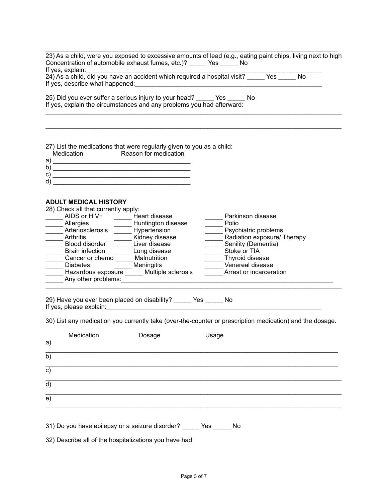$\mathcal{L}_\text{max}$  , and the contribution of the contribution of the contribution of the contribution of the contribution of the contribution of the contribution of the contribution of the contribution of the contribution of t 23) As a child, were you exposed to excessive amounts of lead (e.g., eating paint chips, living next to high Concentration of automobile exhaust fumes, etc.)? \_\_\_\_\_ Yes \_\_\_\_\_ No If yes, explain: 24) As a child, did you have an accident which required a hospital visit? Yes No If yes, describe what happened:

 $\mathcal{L}_\text{G} = \{ \mathcal{L}_\text{G} = \{ \mathcal{L}_\text{G} = \{ \mathcal{L}_\text{G} = \{ \mathcal{L}_\text{G} = \{ \mathcal{L}_\text{G} = \{ \mathcal{L}_\text{G} = \{ \mathcal{L}_\text{G} = \{ \mathcal{L}_\text{G} = \{ \mathcal{L}_\text{G} = \{ \mathcal{L}_\text{G} = \{ \mathcal{L}_\text{G} = \{ \mathcal{L}_\text{G} = \{ \mathcal{L}_\text{G} = \{ \mathcal{L}_\text{G} = \{ \mathcal{L}_\text{G$ 

25) Did you ever suffer a serious injury to your head? \_\_\_\_\_ Yes \_\_\_\_\_ No If yes, explain the circumstances and any problems you had afterward:  $\mathcal{L}_\text{max}$  , and the contribution of the contribution of the contribution of the contribution of the contribution of the contribution of the contribution of the contribution of the contribution of the contribution of t

27) List the medications that were regularly given to you as a child:<br>Medication Reason for medication ,<br>Medication

|   | <u>IVICUICALIUI I</u> | REASULLUL IIIEUILAIIUIT |
|---|-----------------------|-------------------------|
| a |                       |                         |
| b |                       |                         |
| c |                       |                         |
| d |                       |                         |

## **ADULT MEDICAL HISTORY**

| 28) Check all that currently apply: |                    |                             |  |  |
|-------------------------------------|--------------------|-----------------------------|--|--|
| AIDS or HIV+                        | Heart disease      | Parkinson disease           |  |  |
| Allergies                           | Huntington disease | Polio                       |  |  |
| Arteriosclerosis                    | Hypertension       | Psychiatric problems        |  |  |
| Arthritis                           | Kidney disease     | Radiation exposure/ Therapy |  |  |
| <b>Blood disorder</b>               | Liver disease      | Senility (Dementia)         |  |  |
| <b>Brain infection</b>              | Lung disease       | Stoke or TIA                |  |  |
| Cancer or chemo                     | Malnutrition       | Thyroid disease             |  |  |
| <b>Diabetes</b>                     | <b>Meningitis</b>  | Venereal disease            |  |  |
| Hazardous exposure                  | Multiple sclerosis | Arrest or incarceration     |  |  |
| Any other problems:                 |                    |                             |  |  |
|                                     |                    |                             |  |  |

29) Have you ever been placed on disability? Yes No If yes, please explain: $\Box$ 

30) List any medication you currently take (over-the-counter or prescription medication) and the dosage.

| a)             | Medication | Dosage | Usage |
|----------------|------------|--------|-------|
| $\overline{b}$ |            |        |       |
| c)             |            |        |       |
| d)             |            |        |       |
| e)             |            |        |       |
|                |            |        |       |

31) Do you have epilepsy or a seizure disorder? \_\_\_\_\_ Yes \_\_\_\_\_ No

32) Describe all of the hospitalizations you have had: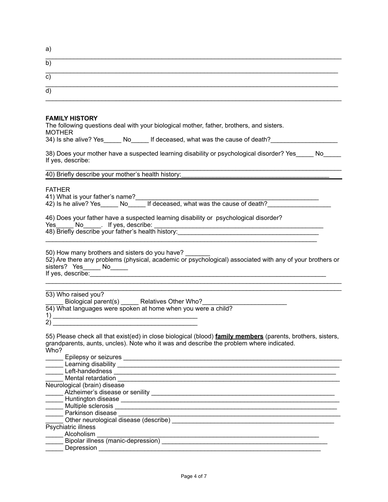| a                 |  |  |
|-------------------|--|--|
| $\mathbf{b}$      |  |  |
| $\mathbf{C}$      |  |  |
| $ {\sf q}\rangle$ |  |  |

## **FAMILY HISTORY**

The following questions deal with your biological mother, father, brothers, and sisters. MOTHER

34) Is she alive? Yes No If deceased, what was the cause of death?

38) Does your mother have a suspected learning disability or psychological disorder? Yes No If yes, describe:

 $\mathcal{L}_\text{G} = \{ \mathcal{L}_\text{G} = \{ \mathcal{L}_\text{G} = \{ \mathcal{L}_\text{G} = \{ \mathcal{L}_\text{G} = \{ \mathcal{L}_\text{G} = \{ \mathcal{L}_\text{G} = \{ \mathcal{L}_\text{G} = \{ \mathcal{L}_\text{G} = \{ \mathcal{L}_\text{G} = \{ \mathcal{L}_\text{G} = \{ \mathcal{L}_\text{G} = \{ \mathcal{L}_\text{G} = \{ \mathcal{L}_\text{G} = \{ \mathcal{L}_\text{G} = \{ \mathcal{L}_\text{G$ 

40) Briefly describe your mother's health history:

FATHER

41) What is your father's name?\_\_\_\_\_\_\_\_\_\_\_\_\_\_\_\_\_\_\_\_\_\_\_\_\_\_\_\_\_\_\_\_\_\_\_\_\_\_\_\_\_\_\_\_\_\_\_\_\_\_\_\_

42) Is he alive? Yes\_\_\_\_\_ No\_\_\_\_\_ If deceased, what was the cause of death?\_\_\_\_\_\_\_\_\_\_\_\_

46) Does your father have a suspected learning disability or psychological disorder?

Yes\_\_\_\_\_ No\_\_\_\_\_. If yes, describe: \_\_\_\_\_\_\_\_\_\_\_\_\_\_\_\_\_\_\_\_\_\_\_\_\_\_\_\_\_\_\_\_\_\_\_\_\_\_\_\_\_\_\_\_\_\_\_\_

48) Briefly describe your father's health history:\_\_\_\_\_\_\_\_\_\_\_\_\_\_\_\_\_\_\_\_\_\_\_\_\_\_\_\_\_\_

50) How many brothers and sisters do you have? 52) Are there any problems (physical, academic or psychological) associated with any of your brothers or sisters? Yes\_\_\_\_\_ No\_\_\_\_\_ If yes, describe:

 $\mathcal{L}_\text{G} = \{ \mathcal{L}_\text{G} = \{ \mathcal{L}_\text{G} = \{ \mathcal{L}_\text{G} = \{ \mathcal{L}_\text{G} = \{ \mathcal{L}_\text{G} = \{ \mathcal{L}_\text{G} = \{ \mathcal{L}_\text{G} = \{ \mathcal{L}_\text{G} = \{ \mathcal{L}_\text{G} = \{ \mathcal{L}_\text{G} = \{ \mathcal{L}_\text{G} = \{ \mathcal{L}_\text{G} = \{ \mathcal{L}_\text{G} = \{ \mathcal{L}_\text{G} = \{ \mathcal{L}_\text{G$ 

 $\mathcal{L}_\text{max}$  , and the set of the set of the set of the set of the set of the set of the set of the set of the set of the set of the set of the set of the set of the set of the set of the set of the set of the set of the

 $\mathcal{L}_\text{max}$  , and the contribution of the contribution of the contribution of the contribution of the contribution of the contribution of the contribution of the contribution of the contribution of the contribution of t 53) Who raised you?

\_\_\_\_\_ Biological parent(s) \_\_\_\_\_ Relatives Other Who?\_\_\_\_\_\_\_\_\_\_\_\_\_\_\_\_\_\_\_\_\_\_\_\_ 54) What languages were spoken at home when you were a child?  $\frac{1}{2}$ 

2) \_\_\_\_\_\_\_\_\_\_\_\_\_\_\_\_\_\_\_\_\_\_\_\_\_\_\_\_\_\_\_\_\_\_\_\_\_\_\_\_\_

55) Please check all that exist(ed) in close biological (blood) **family members** (parents, brothers, sisters, grandparents, aunts, uncles). Note who it was and describe the problem where indicated. Who?

| Epilepsy or seizures                  |  |
|---------------------------------------|--|
| Learning disability                   |  |
| Left-handedness                       |  |
| Mental retardation                    |  |
| Neurological (brain) disease          |  |
| Alzheimer's disease or senility       |  |
| Huntington disease                    |  |
| Multiple sclerosis                    |  |
| Parkinson disease                     |  |
| Other neurological disease (describe) |  |
| Psychiatric illness                   |  |
| Alcoholism                            |  |
| Bipolar illness (manic-depression)    |  |
| Depression                            |  |
|                                       |  |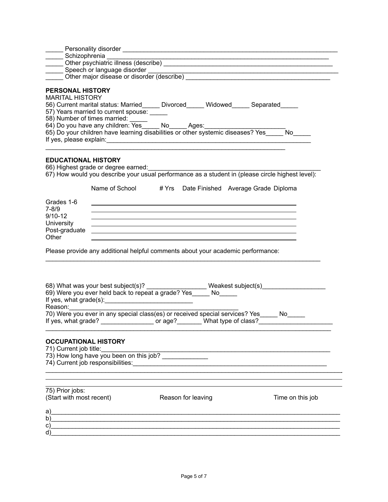|                                                                        | ___ Schizophrenia ____ <sup>___</sup>                                                                                                                                  |                    |  |                                                                                                     |  |
|------------------------------------------------------------------------|------------------------------------------------------------------------------------------------------------------------------------------------------------------------|--------------------|--|-----------------------------------------------------------------------------------------------------|--|
|                                                                        |                                                                                                                                                                        |                    |  |                                                                                                     |  |
|                                                                        | Speech or language disorder<br><u>Communication</u> Other major disease or disorder (describe)                                                                         |                    |  |                                                                                                     |  |
| <b>PERSONAL HISTORY</b><br><b>MARITAL HISTORY</b>                      | 56) Current marital status: Married_____ Divorced_____ Widowed_____ Separated_____<br>57) Years married to current spouse: _____<br>58) Number of times married: _____ |                    |  |                                                                                                     |  |
| <b>EDUCATIONAL HISTORY</b>                                             | 66) Highest grade or degree earned: [11] Martin Martin Martin Martin Martin Martin Martin Martin Martin Martin                                                         |                    |  | 67) How would you describe your usual performance as a student in (please circle highest level):    |  |
|                                                                        | Name of School # Yrs  Date Finished  Average Grade Diploma                                                                                                             |                    |  |                                                                                                     |  |
| Grades 1-6<br>7-8/9<br>9/10-12<br>University<br>Post-graduate<br>Other | ,我们也不会有什么。""我们的人,我们也不会有什么?""我们的人,我们也不会有什么?""我们的人,我们也不会有什么?""我们的人,我们也不会有什么?""我们的人<br>,我们也不会有什么。""我们的人,我们也不会有什么?""我们的人,我们也不会有什么?""我们的人,我们的人,我们也不会有什么?""我们的人,我们的人,我们的人,我  |                    |  |                                                                                                     |  |
|                                                                        | Please provide any additional helpful comments about your academic performance:                                                                                        |                    |  |                                                                                                     |  |
| Reason:                                                                | 70) Were you ever in any special class(es) or received special services? Yes _____ No_____                                                                             |                    |  | If yes, what grade? ____________________ or age?_________ What type of class?______________________ |  |
| <b>OCCUPATIONAL HISTORY</b><br>71) Current job title:                  | 73) How long have you been on this job?                                                                                                                                |                    |  |                                                                                                     |  |
| 75) Prior jobs:<br>(Start with most recent)                            |                                                                                                                                                                        | Reason for leaving |  | Time on this job                                                                                    |  |
| a)                                                                     |                                                                                                                                                                        |                    |  |                                                                                                     |  |
| b)                                                                     |                                                                                                                                                                        |                    |  |                                                                                                     |  |
| c)                                                                     |                                                                                                                                                                        |                    |  |                                                                                                     |  |
| d)                                                                     |                                                                                                                                                                        |                    |  |                                                                                                     |  |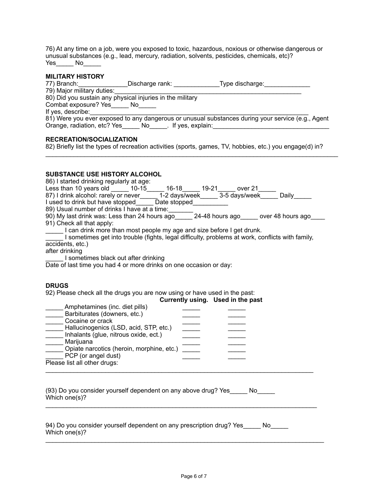76) At any time on a job, were you exposed to toxic, hazardous, noxious or otherwise dangerous or unusual substances (e.g., lead, mercury, radiation, solvents, pesticides, chemicals, etc)? Yes\_\_\_\_\_\_ No\_\_\_\_\_\_

| <b>MILITARY HISTORY</b>                  |                                                                            |                                                                                                                                                                                                                                                                                                                                                                                                   |  |
|------------------------------------------|----------------------------------------------------------------------------|---------------------------------------------------------------------------------------------------------------------------------------------------------------------------------------------------------------------------------------------------------------------------------------------------------------------------------------------------------------------------------------------------|--|
|                                          |                                                                            | 77) Branch: Contract Chinage Contract Chinage Contract Chinage Chinage Chinage Chinage Chinage Chinage Chinage                                                                                                                                                                                                                                                                                    |  |
| 79) Major military duties:               | 80) Did you sustain any physical injuries in the military                  |                                                                                                                                                                                                                                                                                                                                                                                                   |  |
| Combat exposure? Yes No                  |                                                                            |                                                                                                                                                                                                                                                                                                                                                                                                   |  |
| If yes, describe:                        |                                                                            |                                                                                                                                                                                                                                                                                                                                                                                                   |  |
|                                          |                                                                            | il yes, describe.<br>81) Were you ever exposed to any dangerous or unusual substances during your service (e.g., Agent                                                                                                                                                                                                                                                                            |  |
|                                          |                                                                            | Orange, radiation, etc? Yes_____ No_____. If yes, explain:_______________________                                                                                                                                                                                                                                                                                                                 |  |
| <b>RECREATION/SOCIALIZATION</b>          |                                                                            | 82) Briefly list the types of recreation activities (sports, games, TV, hobbies, etc.) you engage(d) in?                                                                                                                                                                                                                                                                                          |  |
| SUBSTANCE USE HISTORY ALCOHOL            |                                                                            |                                                                                                                                                                                                                                                                                                                                                                                                   |  |
| 86) I started drinking regularly at age: |                                                                            |                                                                                                                                                                                                                                                                                                                                                                                                   |  |
|                                          |                                                                            | Less than 10 years old ______ 10-15______ 16-18______ 19-21______ over 21______<br>87) I drink alcohol: rarely or never_______ 1-2 days/week_______ 3-5 days/week_______ Daily_______                                                                                                                                                                                                             |  |
|                                          | I used to drink but have stopped Date stopped                              |                                                                                                                                                                                                                                                                                                                                                                                                   |  |
|                                          | 89) Usual number of drinks I have at a time:                               |                                                                                                                                                                                                                                                                                                                                                                                                   |  |
|                                          |                                                                            | 90) My last drink was: Less than 24 hours ago_______ 24-48 hours ago_____ over 48 hours ago____                                                                                                                                                                                                                                                                                                   |  |
| 91) Check all that apply:                | I can drink more than most people my age and size before I get drunk.      |                                                                                                                                                                                                                                                                                                                                                                                                   |  |
|                                          |                                                                            | I sometimes get into trouble (fights, legal difficulty, problems at work, conflicts with family,                                                                                                                                                                                                                                                                                                  |  |
| accidents, etc.)                         |                                                                            |                                                                                                                                                                                                                                                                                                                                                                                                   |  |
| after drinking                           |                                                                            |                                                                                                                                                                                                                                                                                                                                                                                                   |  |
| I sometimes black out after drinking     | Date of last time you had 4 or more drinks on one occasion or day:         |                                                                                                                                                                                                                                                                                                                                                                                                   |  |
|                                          |                                                                            |                                                                                                                                                                                                                                                                                                                                                                                                   |  |
| <b>DRUGS</b>                             |                                                                            |                                                                                                                                                                                                                                                                                                                                                                                                   |  |
|                                          | 92) Please check all the drugs you are now using or have used in the past: |                                                                                                                                                                                                                                                                                                                                                                                                   |  |
| Amphetamines (inc. diet pills)           |                                                                            | Currently using. Used in the past                                                                                                                                                                                                                                                                                                                                                                 |  |
| Barbiturates (downers, etc.)             |                                                                            |                                                                                                                                                                                                                                                                                                                                                                                                   |  |
| _______ Cocaine or crack                 |                                                                            |                                                                                                                                                                                                                                                                                                                                                                                                   |  |
| Hallucinogenics (LSD, acid, STP, etc.)   |                                                                            | $\frac{1}{1-\frac{1}{2}}\left( \frac{1}{2}-\frac{1}{2}\right) ^{2}+\frac{1}{2}+\frac{1}{2}+\frac{1}{2}+\frac{1}{2}+\frac{1}{2}+\frac{1}{2}+\frac{1}{2}+\frac{1}{2}+\frac{1}{2}+\frac{1}{2}+\frac{1}{2}+\frac{1}{2}+\frac{1}{2}+\frac{1}{2}+\frac{1}{2}+\frac{1}{2}+\frac{1}{2}+\frac{1}{2}+\frac{1}{2}+\frac{1}{2}+\frac{1}{2}+\frac{1}{2}+\frac{1}{2}+\frac{1}{2}+\frac{1}{2}+\frac{1}{2}+\frac$ |  |
| Inhalants (glue, nitrous oxide, ect.)    |                                                                            | $\frac{1}{2}$                                                                                                                                                                                                                                                                                                                                                                                     |  |
| Marijuana                                | Opiate narcotics (heroin, morphine, etc.)                                  |                                                                                                                                                                                                                                                                                                                                                                                                   |  |
| $\frac{1}{2}$ PCP (or angel dust)        |                                                                            |                                                                                                                                                                                                                                                                                                                                                                                                   |  |
| Please list all other drugs:             |                                                                            |                                                                                                                                                                                                                                                                                                                                                                                                   |  |
|                                          |                                                                            |                                                                                                                                                                                                                                                                                                                                                                                                   |  |
|                                          |                                                                            |                                                                                                                                                                                                                                                                                                                                                                                                   |  |
| Which one(s)?                            |                                                                            | (93) Do you consider yourself dependent on any above drug? Yes _____ No                                                                                                                                                                                                                                                                                                                           |  |
|                                          |                                                                            |                                                                                                                                                                                                                                                                                                                                                                                                   |  |
|                                          |                                                                            |                                                                                                                                                                                                                                                                                                                                                                                                   |  |
|                                          |                                                                            |                                                                                                                                                                                                                                                                                                                                                                                                   |  |

94) Do you consider yourself dependent on any prescription drug? Yes \_\_\_\_\_ No\_\_\_\_ Which one(s)?

 $\_$  ,  $\_$  ,  $\_$  ,  $\_$  ,  $\_$  ,  $\_$  ,  $\_$  ,  $\_$  ,  $\_$  ,  $\_$  ,  $\_$  ,  $\_$  ,  $\_$  ,  $\_$  ,  $\_$  ,  $\_$  ,  $\_$  ,  $\_$  ,  $\_$  ,  $\_$  ,  $\_$  ,  $\_$  ,  $\_$  ,  $\_$  ,  $\_$  ,  $\_$  ,  $\_$  ,  $\_$  ,  $\_$  ,  $\_$  ,  $\_$  ,  $\_$  ,  $\_$  ,  $\_$  ,  $\_$  ,  $\_$  ,  $\_$  ,